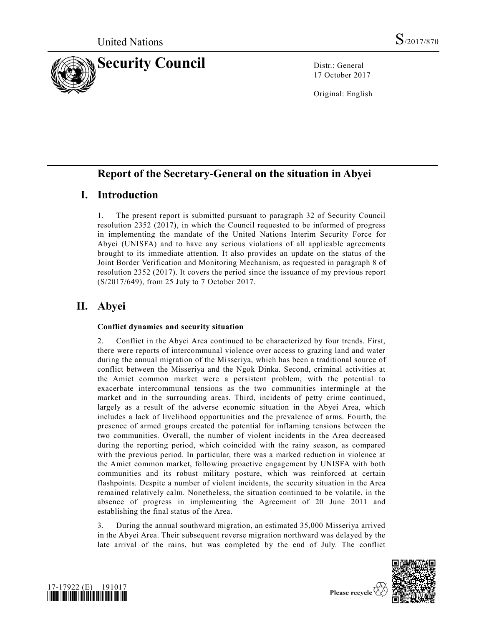

17 October 2017

Original: English

# **Report of the Secretary-General on the situation in Abyei**

# **I. Introduction**

1. The present report is submitted pursuant to paragraph 32 of Security Council resolution [2352 \(2017\),](https://undocs.org/S/RES/2352(2017)) in which the Council requested to be informed of progress in implementing the mandate of the United Nations Interim Security Force for Abyei (UNISFA) and to have any serious violations of all applicable agreements brought to its immediate attention. It also provides an update on the status of the Joint Border Verification and Monitoring Mechanism, as requested in paragraph 8 of resolution [2352 \(2017\).](https://undocs.org/S/RES/2352(2017)) It covers the period since the issuance of my previous report [\(S/2017/649\)](https://undocs.org/S/2017/649), from 25 July to 7 October 2017.

# **II. Abyei**

### **Conflict dynamics and security situation**

2. Conflict in the Abyei Area continued to be characterized by four trends. First, there were reports of intercommunal violence over access to grazing land and water during the annual migration of the Misseriya, which has been a traditional source of conflict between the Misseriya and the Ngok Dinka. Second, criminal activities at the Amiet common market were a persistent problem, with the potential to exacerbate intercommunal tensions as the two communities intermingle at the market and in the surrounding areas. Third, incidents of petty crime continued, largely as a result of the adverse economic situation in the Abyei Area, which includes a lack of livelihood opportunities and the prevalence of arms. Fo urth, the presence of armed groups created the potential for inflaming tensions between the two communities. Overall, the number of violent incidents in the Area decreased during the reporting period, which coincided with the rainy season, as compared with the previous period. In particular, there was a marked reduction in violence at the Amiet common market, following proactive engagement by UNISFA with both communities and its robust military posture, which was reinforced at certain flashpoints. Despite a number of violent incidents, the security situation in the Area remained relatively calm. Nonetheless, the situation continued to be volatile, in the absence of progress in implementing the Agreement of 20 June 2011 and establishing the final status of the Area.

3. During the annual southward migration, an estimated 35,000 Misseriya arrived in the Abyei Area. Their subsequent reverse migration northward was delayed by the late arrival of the rains, but was completed by the end of July. The conflict





Please recycle  $\overline{\mathfrak{C}}$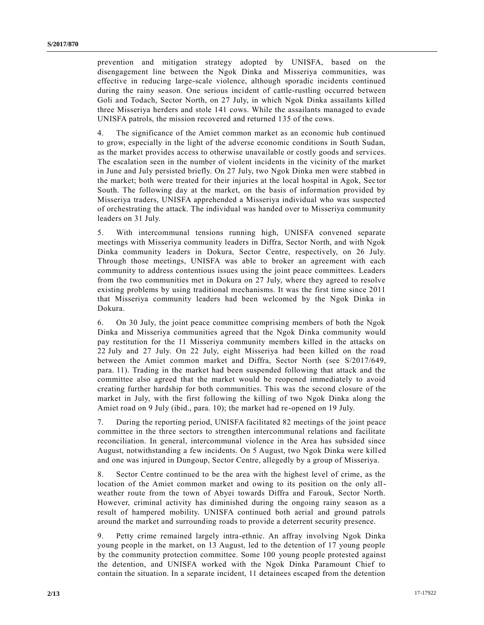prevention and mitigation strategy adopted by UNISFA, based on the disengagement line between the Ngok Dinka and Misseriya communities, was effective in reducing large-scale violence, although sporadic incidents continued during the rainy season. One serious incident of cattle-rustling occurred between Goli and Todach, Sector North, on 27 July, in which Ngok Dinka assailants killed three Misseriya herders and stole 141 cows. While the assailants managed to evade UNISFA patrols, the mission recovered and returned 135 of the cows.

4. The significance of the Amiet common market as an economic hub continued to grow, especially in the light of the adverse economic conditions in South Sudan, as the market provides access to otherwise unavailable or costly goods and services. The escalation seen in the number of violent incidents in the vicinity of the market in June and July persisted briefly. On 27 July, two Ngok Dinka men were stabbed in the market; both were treated for their injuries at the local hospital in Agok, Sec tor South. The following day at the market, on the basis of information provided by Misseriya traders, UNISFA apprehended a Misseriya individual who was suspected of orchestrating the attack. The individual was handed over to Misseriya community leaders on 31 July.

5. With intercommunal tensions running high, UNISFA convened separate meetings with Misseriya community leaders in Diffra, Sector North, and with Ngok Dinka community leaders in Dokura, Sector Centre, respectively, on 26 July. Through those meetings, UNISFA was able to broker an agreement with each community to address contentious issues using the joint peace committees. Leaders from the two communities met in Dokura on 27 July, where they agreed to resolve existing problems by using traditional mechanisms. It was the first time since 2011 that Misseriya community leaders had been welcomed by the Ngok Dinka in Dokura.

6. On 30 July, the joint peace committee comprising members of both the Ngok Dinka and Misseriya communities agreed that the Ngok Dinka community would pay restitution for the 11 Misseriya community members killed in the attacks on 22 July and 27 July. On 22 July, eight Misseriya had been killed on the road between the Amiet common market and Diffra, Sector North (see [S/2017/649,](https://undocs.org/S/2017/649) para. 11). Trading in the market had been suspended following that attack and the committee also agreed that the market would be reopened immediately to avoid creating further hardship for both communities. This was the second closure of the market in July, with the first following the killing of two Ngok Dinka along the Amiet road on 9 July (ibid., para. 10); the market had re-opened on 19 July.

7. During the reporting period, UNISFA facilitated 82 meetings of the joint peace committee in the three sectors to strengthen intercommunal relations and facilitate reconciliation. In general, intercommunal violence in the Area has subsided since August, notwithstanding a few incidents. On 5 August, two Ngok Dinka were kill ed and one was injured in Dungoup, Sector Centre, allegedly by a group of Misseriya.

8. Sector Centre continued to be the area with the highest level of crime, as the location of the Amiet common market and owing to its position on the only allweather route from the town of Abyei towards Diffra and Farouk, Sector North. However, criminal activity has diminished during the ongoing rainy season as a result of hampered mobility. UNISFA continued both aerial and ground patrols around the market and surrounding roads to provide a deterrent security presence.

9. Petty crime remained largely intra-ethnic. An affray involving Ngok Dinka young people in the market, on 13 August, led to the detention of 17 young people by the community protection committee. Some 100 young people protested against the detention, and UNISFA worked with the Ngok Dinka Paramount Chief to contain the situation. In a separate incident, 11 detainees escaped from the detention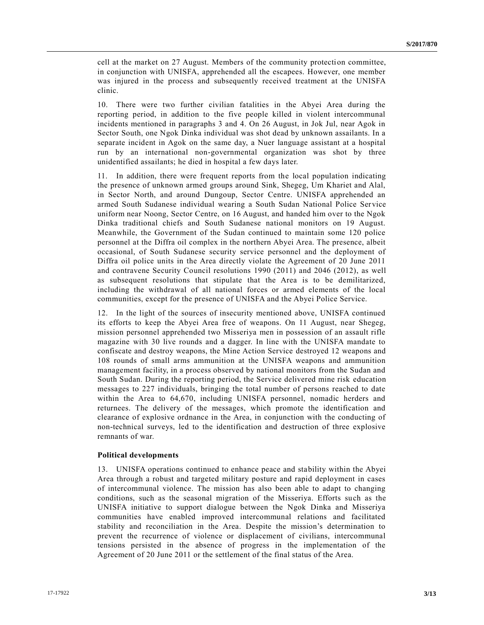cell at the market on 27 August. Members of the community protection committee, in conjunction with UNISFA, apprehended all the escapees. However, one member was injured in the process and subsequently received treatment at the UNISFA clinic.

10. There were two further civilian fatalities in the Abyei Area during the reporting period, in addition to the five people killed in violent intercommunal incidents mentioned in paragraphs 3 and 4. On 26 August, in Jok Jul, near Agok in Sector South, one Ngok Dinka individual was shot dead by unknown assailants. In a separate incident in Agok on the same day, a Nuer language assistant at a hospital run by an international non-governmental organization was shot by three unidentified assailants; he died in hospital a few days later.

11. In addition, there were frequent reports from the local population indicating the presence of unknown armed groups around Sink, Shegeg, Um Khariet and Alal, in Sector North, and around Dungoup, Sector Centre. UNISFA apprehended an armed South Sudanese individual wearing a South Sudan National Police Service uniform near Noong, Sector Centre, on 16 August, and handed him over to the Ngok Dinka traditional chiefs and South Sudanese national monitors on 19 August. Meanwhile, the Government of the Sudan continued to maintain some 120 police personnel at the Diffra oil complex in the northern Abyei Area. The presence, albeit occasional, of South Sudanese security service personnel and the deployment of Diffra oil police units in the Area directly violate the Agreement of 20 June 2011 and contravene Security Council resolutions [1990 \(2011\)](https://undocs.org/S/RES/1990(2011)) and [2046 \(2012\),](https://undocs.org/S/RES/2046(2012)) as well as subsequent resolutions that stipulate that the Area is to be demilitarized, including the withdrawal of all national forces or armed elements of the local communities, except for the presence of UNISFA and the Abyei Police Service.

12. In the light of the sources of insecurity mentioned above, UNISFA continued its efforts to keep the Abyei Area free of weapons. On 11 August, near Shegeg, mission personnel apprehended two Misseriya men in possession of an assault rifle magazine with 30 live rounds and a dagger. In line with the UNISFA mandate to confiscate and destroy weapons, the Mine Action Service destroyed 12 weapons and 108 rounds of small arms ammunition at the UNISFA weapons and ammunition management facility, in a process observed by national monitors from the Sudan and South Sudan. During the reporting period, the Service delivered mine risk education messages to 227 individuals, bringing the total number of persons reached to date within the Area to 64,670, including UNISFA personnel, nomadic herders and returnees. The delivery of the messages, which promote the identification and clearance of explosive ordnance in the Area, in conjunction with the conducting of non-technical surveys, led to the identification and destruction of three explosive remnants of war.

#### **Political developments**

13. UNISFA operations continued to enhance peace and stability within the Abyei Area through a robust and targeted military posture and rapid deployment in cases of intercommunal violence. The mission has also been able to adapt to changing conditions, such as the seasonal migration of the Misseriya. Efforts such as the UNISFA initiative to support dialogue between the Ngok Dinka and Misseriya communities have enabled improved intercommunal relations and facilitated stability and reconciliation in the Area. Despite the mission's determination to prevent the recurrence of violence or displacement of civilians, intercommunal tensions persisted in the absence of progress in the implementation of the Agreement of 20 June 2011 or the settlement of the final status of the Area.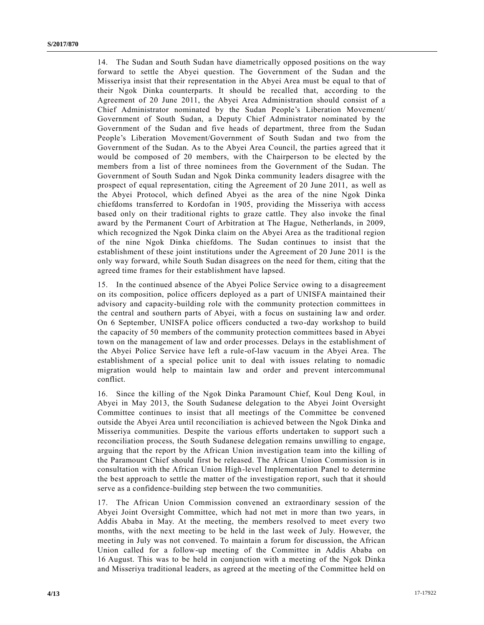14. The Sudan and South Sudan have diametrically opposed positions on the way forward to settle the Abyei question. The Government of the Sudan and the Misseriya insist that their representation in the Abyei Area must be equal to that of their Ngok Dinka counterparts. It should be recalled that, according to the Agreement of 20 June 2011, the Abyei Area Administration should consist of a Chief Administrator nominated by the Sudan People's Liberation Movement/ Government of South Sudan, a Deputy Chief Administrator nominated by the Government of the Sudan and five heads of department, three from the Sudan People's Liberation Movement/Government of South Sudan and two from the Government of the Sudan. As to the Abyei Area Council, the parties agreed that it would be composed of 20 members, with the Chairperson to be elected by the members from a list of three nominees from the Government of the Sudan. The Government of South Sudan and Ngok Dinka community leaders disagree with the prospect of equal representation, citing the Agreement of 20 June 2011, as well as the Abyei Protocol, which defined Abyei as the area of the nine Ngok Dinka chiefdoms transferred to Kordofan in 1905, providing the Misseriya with access based only on their traditional rights to graze cattle. They also invoke the final award by the Permanent Court of Arbitration at The Hague, Netherlands, in 2009, which recognized the Ngok Dinka claim on the Abyei Area as the traditional region of the nine Ngok Dinka chiefdoms. The Sudan continues to insist that the establishment of these joint institutions under the Agreement of 20 June 2011 is the only way forward, while South Sudan disagrees on the need for them, citing that the agreed time frames for their establishment have lapsed.

15. In the continued absence of the Abyei Police Service owing to a disagreement on its composition, police officers deployed as a part of UNISFA maintained their advisory and capacity-building role with the community protection committees in the central and southern parts of Abyei, with a focus on sustaining law and order. On 6 September, UNISFA police officers conducted a two-day workshop to build the capacity of 50 members of the community protection committees based in Abyei town on the management of law and order processes. Delays in the establishment of the Abyei Police Service have left a rule-of-law vacuum in the Abyei Area. The establishment of a special police unit to deal with issues relating to nomadic migration would help to maintain law and order and prevent intercommunal conflict.

16. Since the killing of the Ngok Dinka Paramount Chief, Koul Deng Koul, in Abyei in May 2013, the South Sudanese delegation to the Abyei Joint Oversight Committee continues to insist that all meetings of the Committee be convened outside the Abyei Area until reconciliation is achieved between the Ngok Dinka and Misseriya communities. Despite the various efforts undertaken to support such a reconciliation process, the South Sudanese delegation remains unwilling to engage, arguing that the report by the African Union investigation team into the killing of the Paramount Chief should first be released. The African Union Commission is in consultation with the African Union High-level Implementation Panel to determine the best approach to settle the matter of the investigation report, such that it should serve as a confidence-building step between the two communities.

17. The African Union Commission convened an extraordinary session of the Abyei Joint Oversight Committee, which had not met in more than two years, in Addis Ababa in May. At the meeting, the members resolved to meet every two months, with the next meeting to be held in the last week of July. However, the meeting in July was not convened. To maintain a forum for discussion, the African Union called for a follow-up meeting of the Committee in Addis Ababa on 16 August. This was to be held in conjunction with a meeting of the Ngok Dinka and Misseriya traditional leaders, as agreed at the meeting of the Committee held on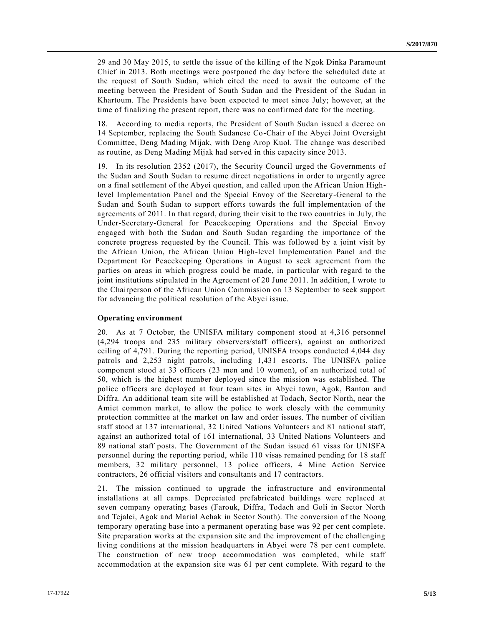29 and 30 May 2015, to settle the issue of the killing of the Ngok Dinka Paramount Chief in 2013. Both meetings were postponed the day before the scheduled date at the request of South Sudan, which cited the need to await the outcome of the meeting between the President of South Sudan and the President of the Sudan in Khartoum. The Presidents have been expected to meet since July; however, at the time of finalizing the present report, there was no confirmed date for the meeting.

18. According to media reports, the President of South Sudan issued a decree on 14 September, replacing the South Sudanese Co-Chair of the Abyei Joint Oversight Committee, Deng Mading Mijak, with Deng Arop Kuol. The change was described as routine, as Deng Mading Mijak had served in this capacity since 2013.

19. In its resolution [2352 \(2017\),](https://undocs.org/S/RES/2352(2017)) the Security Council urged the Governments of the Sudan and South Sudan to resume direct negotiations in order to urgently agree on a final settlement of the Abyei question, and called upon the African Union Highlevel Implementation Panel and the Special Envoy of the Secretary-General to the Sudan and South Sudan to support efforts towards the full implementation of the agreements of 2011. In that regard, during their visit to the two countries in July, the Under-Secretary-General for Peacekeeping Operations and the Special Envoy engaged with both the Sudan and South Sudan regarding the importance of the concrete progress requested by the Council. This was followed by a joint visit by the African Union, the African Union High-level Implementation Panel and the Department for Peacekeeping Operations in August to seek agreement from the parties on areas in which progress could be made, in particular with regard to the joint institutions stipulated in the Agreement of 20 June 2011. In addition, I wrote to the Chairperson of the African Union Commission on 13 September to seek support for advancing the political resolution of the Abyei issue.

#### **Operating environment**

20. As at 7 October, the UNISFA military component stood at 4,316 personnel (4,294 troops and 235 military observers/staff officers), against an authorized ceiling of 4,791. During the reporting period, UNISFA troops conducted 4,044 day patrols and 2,253 night patrols, including 1,431 escorts. The UNISFA police component stood at 33 officers (23 men and 10 women), of an authorized total of 50, which is the highest number deployed since the mission was established. The police officers are deployed at four team sites in Abyei town, Agok, Banton and Diffra. An additional team site will be established at Todach, Sector North, near the Amiet common market, to allow the police to work closely with the community protection committee at the market on law and order issues. The number of civilian staff stood at 137 international, 32 United Nations Volunteers and 81 national staff, against an authorized total of 161 international, 33 United Nations Volunteers and 89 national staff posts. The Government of the Sudan issued 61 visas for UNISFA personnel during the reporting period, while 110 visas remained pending for 18 staff members, 32 military personnel, 13 police officers, 4 Mine Action Service contractors, 26 official visitors and consultants and 17 contractors.

21. The mission continued to upgrade the infrastructure and environmental installations at all camps. Depreciated prefabricated buildings were replaced at seven company operating bases (Farouk, Diffra, Todach and Goli in Sector North and Tejalei, Agok and Marial Achak in Sector South). The conversion of the Noong temporary operating base into a permanent operating base was 92 per cent complete. Site preparation works at the expansion site and the improvement of the challenging living conditions at the mission headquarters in Abyei were 78 per cent complete. The construction of new troop accommodation was completed, while staff accommodation at the expansion site was 61 per cent complete. With regard to the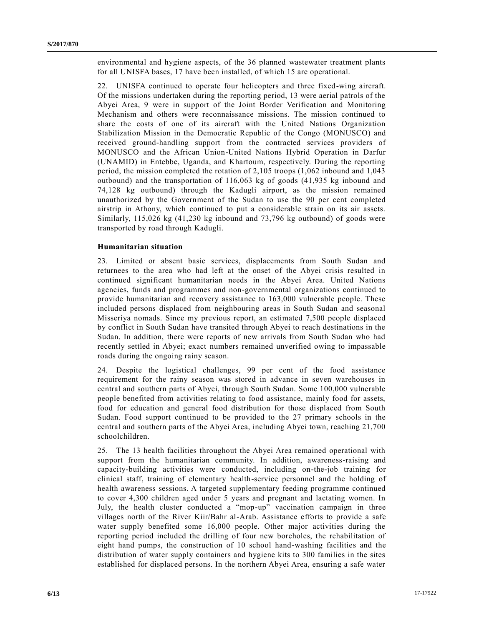environmental and hygiene aspects, of the 36 planned wastewater treatment plants for all UNISFA bases, 17 have been installed, of which 15 are operational.

22. UNISFA continued to operate four helicopters and three fixed-wing aircraft. Of the missions undertaken during the reporting period, 13 were aerial patrols of the Abyei Area, 9 were in support of the Joint Border Verification and Monitoring Mechanism and others were reconnaissance missions. The mission continued to share the costs of one of its aircraft with the United Nations Organization Stabilization Mission in the Democratic Republic of the Congo (MONUSCO) and received ground-handling support from the contracted services providers of MONUSCO and the African Union-United Nations Hybrid Operation in Darfur (UNAMID) in Entebbe, Uganda, and Khartoum, respectively. During the reporting period, the mission completed the rotation of 2,105 troops (1,062 inbound and 1,043 outbound) and the transportation of 116,063 kg of goods (41,935 kg inbound and 74,128 kg outbound) through the Kadugli airport, as the mission remained unauthorized by the Government of the Sudan to use the 90 per cent completed airstrip in Athony, which continued to put a considerable strain on its air assets. Similarly, 115,026 kg (41,230 kg inbound and 73,796 kg outbound) of goods were transported by road through Kadugli.

#### **Humanitarian situation**

23. Limited or absent basic services, displacements from South Sudan and returnees to the area who had left at the onset of the Abyei crisis resulted in continued significant humanitarian needs in the Abyei Area. United Nations agencies, funds and programmes and non-governmental organizations continued to provide humanitarian and recovery assistance to 163,000 vulnerable people. These included persons displaced from neighbouring areas in South Sudan and seasonal Misseriya nomads. Since my previous report, an estimated 7,500 people displaced by conflict in South Sudan have transited through Abyei to reach destinations in the Sudan. In addition, there were reports of new arrivals from South Sudan who had recently settled in Abyei; exact numbers remained unverified owing to impassable roads during the ongoing rainy season.

24. Despite the logistical challenges, 99 per cent of the food assistance requirement for the rainy season was stored in advance in seven warehouses in central and southern parts of Abyei, through South Sudan. Some 100,000 vulnerable people benefited from activities relating to food assistance, mainly food for assets, food for education and general food distribution for those displaced from South Sudan. Food support continued to be provided to the 27 primary schools in the central and southern parts of the Abyei Area, including Abyei town, reaching 21,700 schoolchildren.

25. The 13 health facilities throughout the Abyei Area remained operational with support from the humanitarian community. In addition, awareness-raising and capacity-building activities were conducted, including on-the-job training for clinical staff, training of elementary health-service personnel and the holding of health awareness sessions. A targeted supplementary feeding programme continued to cover 4,300 children aged under 5 years and pregnant and lactating women. In July, the health cluster conducted a "mop-up" vaccination campaign in three villages north of the River Kiir/Bahr al-Arab. Assistance efforts to provide a safe water supply benefited some 16,000 people. Other major activities during the reporting period included the drilling of four new boreholes, the rehabilitation of eight hand pumps, the construction of 10 school hand-washing facilities and the distribution of water supply containers and hygiene kits to 300 families in the sites established for displaced persons. In the northern Abyei Area, ensuring a safe water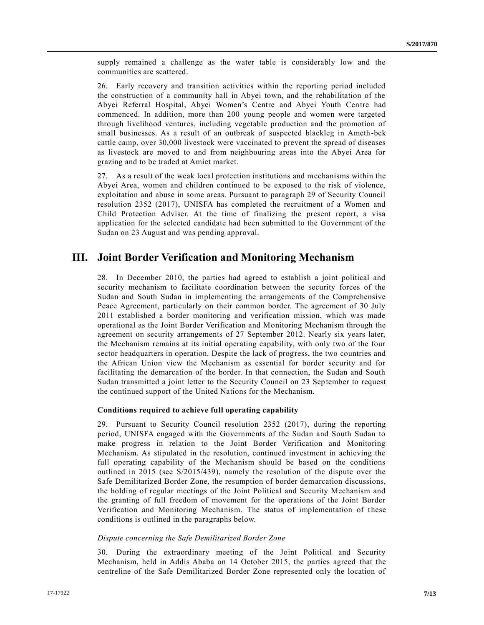supply remained a challenge as the water table is considerably low and the communities are scattered.

26. Early recovery and transition activities within the reporting period included the construction of a community hall in Abyei town, and the rehabilitation of the Abyei Referral Hospital, Abyei Women's Centre and Abyei Youth Centre had commenced. In addition, more than 200 young people and women were targeted through livelihood ventures, including vegetable production and the promotion of small businesses. As a result of an outbreak of suspected blackleg in Ameth-bek cattle camp, over 30,000 livestock were vaccinated to prevent the spread of diseases as livestock are moved to and from neighbouring areas into the Abyei Area for grazing and to be traded at Amiet market.

27. As a result of the weak local protection institutions and mechanisms within the Abyei Area, women and children continued to be exposed to the risk of violence, exploitation and abuse in some areas. Pursuant to paragraph 29 of Security Council resolution [2352 \(2017\),](https://undocs.org/S/RES/2352(2017)) UNISFA has completed the recruitment of a Women and Child Protection Adviser. At the time of finalizing the present report, a visa application for the selected candidate had been submitted to the Government of the Sudan on 23 August and was pending approval.

## **III. Joint Border Verification and Monitoring Mechanism**

28. In December 2010, the parties had agreed to establish a joint political and security mechanism to facilitate coordination between the security forces of the Sudan and South Sudan in implementing the arrangements of the Comprehensive Peace Agreement, particularly on their common border. The agreement of 30 July 2011 established a border monitoring and verification mission, which was made operational as the Joint Border Verification and Monitoring Mechanism through the agreement on security arrangements of 27 September 2012. Nearly six years later, the Mechanism remains at its initial operating capability, with only two of the four sector headquarters in operation. Despite the lack of progress, the two countries and the African Union view the Mechanism as essential for border security and for facilitating the demarcation of the border. In that connection, the Sudan and South Sudan transmitted a joint letter to the Security Council on 23 September to request the continued support of the United Nations for the Mechanism.

#### **Conditions required to achieve full operating capability**

29. Pursuant to Security Council resolution [2352 \(2017\),](https://undocs.org/S/RES/2352(2017)) during the reporting period, UNISFA engaged with the Governments of the Sudan and South Sudan to make progress in relation to the Joint Border Verification and Monitoring Mechanism. As stipulated in the resolution, continued investment in achieving the full operating capability of the Mechanism should be based on the conditions outlined in 2015 (see [S/2015/439\)](https://undocs.org/S/2015/439), namely the resolution of the dispute over the Safe Demilitarized Border Zone, the resumption of border demarcation discussions, the holding of regular meetings of the Joint Political and Security Mechanism and the granting of full freedom of movement for the operations of the Joint Border Verification and Monitoring Mechanism. The status of implementation of these conditions is outlined in the paragraphs below.

#### *Dispute concerning the Safe Demilitarized Border Zone*

30. During the extraordinary meeting of the Joint Political and Security Mechanism, held in Addis Ababa on 14 October 2015, the parties agreed that the centreline of the Safe Demilitarized Border Zone represented only the location of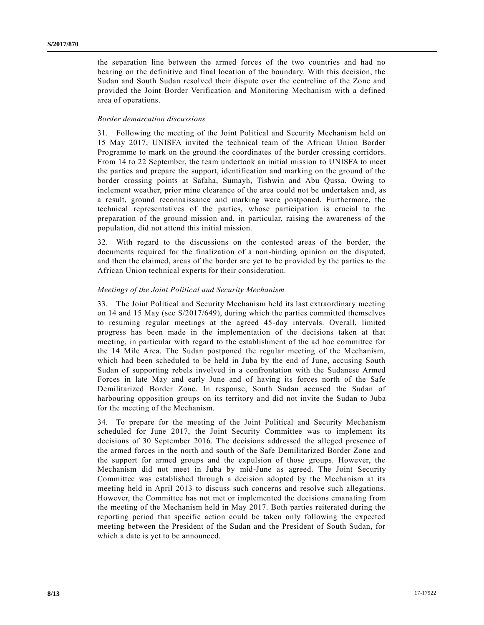the separation line between the armed forces of the two countries and had no bearing on the definitive and final location of the boundary. With this decision, the Sudan and South Sudan resolved their dispute over the centreline of the Zone and provided the Joint Border Verification and Monitoring Mechanism with a defined area of operations.

#### *Border demarcation discussions*

31. Following the meeting of the Joint Political and Security Mechanism held on 15 May 2017, UNISFA invited the technical team of the African Union Border Programme to mark on the ground the coordinates of the border crossing corridors. From 14 to 22 September, the team undertook an initial mission to UNISFA to meet the parties and prepare the support, identification and marking on the ground of the border crossing points at Safaha, Sumayh, Tishwin and Abu Qussa. Owing to inclement weather, prior mine clearance of the area could not be undertaken and, as a result, ground reconnaissance and marking were postponed. Furthermore, the technical representatives of the parties, whose participation is crucial to the preparation of the ground mission and, in particular, raising the awareness of the population, did not attend this initial mission.

32. With regard to the discussions on the contested areas of the border, the documents required for the finalization of a non-binding opinion on the disputed, and then the claimed, areas of the border are yet to be provided by the parties to the African Union technical experts for their consideration.

#### *Meetings of the Joint Political and Security Mechanism*

33. The Joint Political and Security Mechanism held its last extraordinary meeting on 14 and 15 May (see [S/2017/649\)](https://undocs.org/S/2017/649), during which the parties committed themselves to resuming regular meetings at the agreed 45-day intervals. Overall, limited progress has been made in the implementation of the decisions taken at that meeting, in particular with regard to the establishment of the ad hoc committee for the 14 Mile Area. The Sudan postponed the regular meeting of the Mechanism, which had been scheduled to be held in Juba by the end of June, accusing South Sudan of supporting rebels involved in a confrontation with the Sudanese Armed Forces in late May and early June and of having its forces north of the Safe Demilitarized Border Zone. In response, South Sudan accused the Sudan of harbouring opposition groups on its territory and did not invite the Sudan to Juba for the meeting of the Mechanism.

34. To prepare for the meeting of the Joint Political and Security Mechanism scheduled for June 2017, the Joint Security Committee was to implement its decisions of 30 September 2016. The decisions addressed the alleged presence of the armed forces in the north and south of the Safe Demilitarized Border Zone and the support for armed groups and the expulsion of those groups. However, the Mechanism did not meet in Juba by mid-June as agreed. The Joint Security Committee was established through a decision adopted by the Mechanism at its meeting held in April 2013 to discuss such concerns and resolve such allegations. However, the Committee has not met or implemented the decisions emanating from the meeting of the Mechanism held in May 2017. Both parties reiterated during the reporting period that specific action could be taken only following the expected meeting between the President of the Sudan and the President of South Sudan, for which a date is yet to be announced.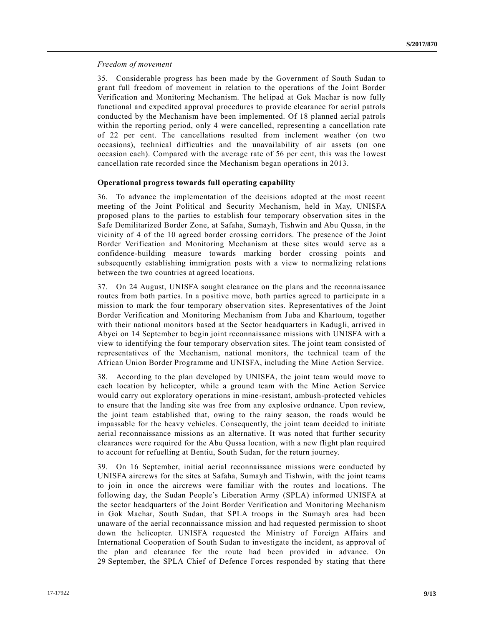#### *Freedom of movement*

35. Considerable progress has been made by the Government of South Sudan to grant full freedom of movement in relation to the operations of the Joint Border Verification and Monitoring Mechanism. The helipad at Gok Machar is now fully functional and expedited approval procedures to provide clearance for aerial patrols conducted by the Mechanism have been implemented. Of 18 planned aerial patrols within the reporting period, only 4 were cancelled, representing a cancellation rate of 22 per cent. The cancellations resulted from inclement weather (on two occasions), technical difficulties and the unavailability of air assets (on one occasion each). Compared with the average rate of 56 per cent, this was the l owest cancellation rate recorded since the Mechanism began operations in 2013.

#### **Operational progress towards full operating capability**

36. To advance the implementation of the decisions adopted at the most recent meeting of the Joint Political and Security Mechanism, held in May, UNISFA proposed plans to the parties to establish four temporary observation sites in the Safe Demilitarized Border Zone, at Safaha, Sumayh, Tishwin and Abu Qussa, in the vicinity of 4 of the 10 agreed border crossing corridors. The presence of the Joint Border Verification and Monitoring Mechanism at these sites would serve as a confidence-building measure towards marking border crossing points and subsequently establishing immigration posts with a view to normalizing relations between the two countries at agreed locations.

37. On 24 August, UNISFA sought clearance on the plans and the reconnaissance routes from both parties. In a positive move, both parties agreed to participate in a mission to mark the four temporary observation sites. Representatives of the Joint Border Verification and Monitoring Mechanism from Juba and Khartoum, together with their national monitors based at the Sector headquarters in Kadugli, arrived in Abyei on 14 September to begin joint reconnaissance missions with UNISFA with a view to identifying the four temporary observation sites. The joint team consisted of representatives of the Mechanism, national monitors, the technical team of the African Union Border Programme and UNISFA, including the Mine Action Service.

38. According to the plan developed by UNISFA, the joint team would move to each location by helicopter, while a ground team with the Mine Action Service would carry out exploratory operations in mine-resistant, ambush-protected vehicles to ensure that the landing site was free from any explosive ordnance. Upon review, the joint team established that, owing to the rainy season, the roads would be impassable for the heavy vehicles. Consequently, the joint team decided to initiate aerial reconnaissance missions as an alternative. It was noted that further security clearances were required for the Abu Qussa location, with a new flight plan required to account for refuelling at Bentiu, South Sudan, for the return journey.

39. On 16 September, initial aerial reconnaissance missions were conducted by UNISFA aircrews for the sites at Safaha, Sumayh and Tishwin, with the joint teams to join in once the aircrews were familiar with the routes and locations. The following day, the Sudan People's Liberation Army (SPLA) informed UNISFA at the sector headquarters of the Joint Border Verification and Monitoring Mechanism in Gok Machar, South Sudan, that SPLA troops in the Sumayh area had been unaware of the aerial reconnaissance mission and had requested permission to shoot down the helicopter. UNISFA requested the Ministry of Foreign Affairs and International Cooperation of South Sudan to investigate the incident, as approval of the plan and clearance for the route had been provided in advance. On 29 September, the SPLA Chief of Defence Forces responded by stating that there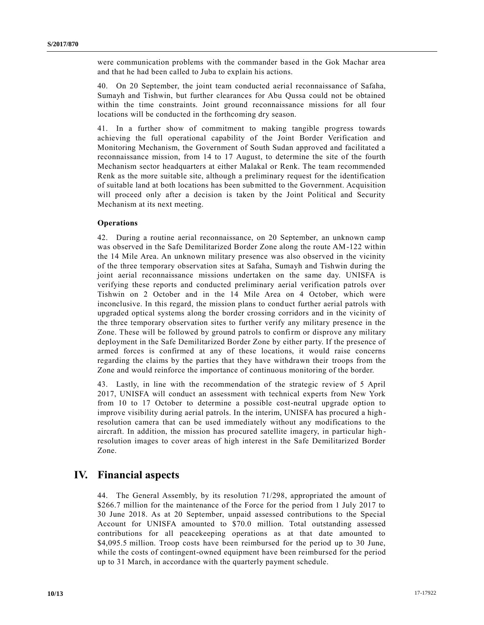were communication problems with the commander based in the Gok Machar area and that he had been called to Juba to explain his actions.

40. On 20 September, the joint team conducted aerial reconnaissance of Safaha, Sumayh and Tishwin, but further clearances for Abu Qussa could not be obtained within the time constraints. Joint ground reconnaissance missions for all four locations will be conducted in the forthcoming dry season.

41. In a further show of commitment to making tangible progress towards achieving the full operational capability of the Joint Border Verification and Monitoring Mechanism, the Government of South Sudan approved and facilitated a reconnaissance mission, from 14 to 17 August, to determine the site of the fourth Mechanism sector headquarters at either Malakal or Renk. The team recommended Renk as the more suitable site, although a preliminary request for the identification of suitable land at both locations has been submitted to the Government. Acquisition will proceed only after a decision is taken by the Joint Political and Security Mechanism at its next meeting.

#### **Operations**

42. During a routine aerial reconnaissance, on 20 September, an unknown camp was observed in the Safe Demilitarized Border Zone along the route AM-122 within the 14 Mile Area. An unknown military presence was also observed in the vicinity of the three temporary observation sites at Safaha, Sumayh and Tishwin during the joint aerial reconnaissance missions undertaken on the same day. UNISFA is verifying these reports and conducted preliminary aerial verification patrols over Tishwin on 2 October and in the 14 Mile Area on 4 October, which were inconclusive. In this regard, the mission plans to conduct further aerial patrols with upgraded optical systems along the border crossing corridors and in the vicinity of the three temporary observation sites to further verify any military presence in the Zone. These will be followed by ground patrols to confirm or disprove any military deployment in the Safe Demilitarized Border Zone by either party. If the presence of armed forces is confirmed at any of these locations, it would raise concerns regarding the claims by the parties that they have withdrawn their troops from the Zone and would reinforce the importance of continuous monitoring of the border.

43. Lastly, in line with the recommendation of the strategic review of 5 April 2017, UNISFA will conduct an assessment with technical experts from New York from 10 to 17 October to determine a possible cost-neutral upgrade option to improve visibility during aerial patrols. In the interim, UNISFA has procured a high resolution camera that can be used immediately without any modifications to the aircraft. In addition, the mission has procured satellite imagery, in particular highresolution images to cover areas of high interest in the Safe Demilitarized Border Zone.

### **IV. Financial aspects**

44. The General Assembly, by its resolution [71/298,](https://undocs.org/A/RES/71/298) appropriated the amount of \$266.7 million for the maintenance of the Force for the period from 1 July 2017 to 30 June 2018. As at 20 September, unpaid assessed contributions to the Special Account for UNISFA amounted to \$70.0 million. Total outstanding assessed contributions for all peacekeeping operations as at that date amounted to \$4,095.5 million. Troop costs have been reimbursed for the period up to 30 June, while the costs of contingent-owned equipment have been reimbursed for the period up to 31 March, in accordance with the quarterly payment schedule.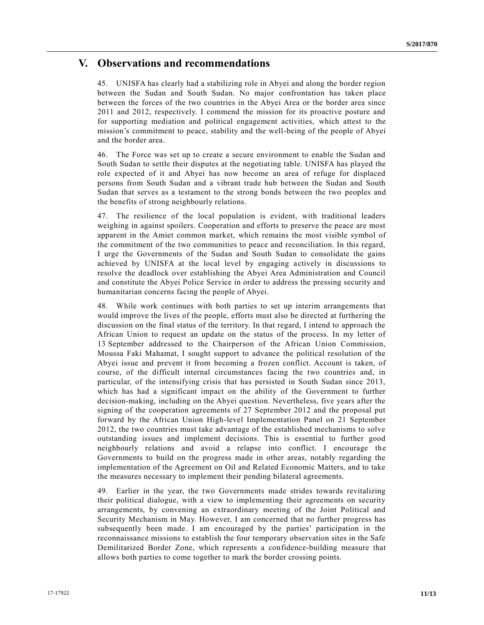### **V. Observations and recommendations**

45. UNISFA has clearly had a stabilizing role in Abyei and along the border region between the Sudan and South Sudan. No major confrontation has taken place between the forces of the two countries in the Abyei Area or the border area since 2011 and 2012, respectively. I commend the mission for its proactive posture and for supporting mediation and political engagement activities, which attest to the mission's commitment to peace, stability and the well-being of the people of Abyei and the border area.

46. The Force was set up to create a secure environment to enable the Sudan and South Sudan to settle their disputes at the negotiating table. UNISFA has played the role expected of it and Abyei has now become an area of refuge for displaced persons from South Sudan and a vibrant trade hub between the Sudan and South Sudan that serves as a testament to the strong bonds between the two peoples and the benefits of strong neighbourly relations.

47. The resilience of the local population is evident, with traditional leaders weighing in against spoilers. Cooperation and efforts to preserve the peace are most apparent in the Amiet common market, which remains the most visible symbol of the commitment of the two communities to peace and reconciliation. In this regard, I urge the Governments of the Sudan and South Sudan to consolidate the gains achieved by UNISFA at the local level by engaging actively in discussions to resolve the deadlock over establishing the Abyei Area Administration and Council and constitute the Abyei Police Service in order to address the pressing security and humanitarian concerns facing the people of Abyei.

48. While work continues with both parties to set up interim arrangements that would improve the lives of the people, efforts must also be directed at furthering the discussion on the final status of the territory. In that regard, I intend to approach the African Union to request an update on the status of the process. In my letter of 13 September addressed to the Chairperson of the African Union Commission, Moussa Faki Mahamat, I sought support to advance the political resolution of the Abyei issue and prevent it from becoming a frozen conflict. Account is taken, of course, of the difficult internal circumstances facing the two countries and, in particular, of the intensifying crisis that has persisted in South Sudan since 2013, which has had a significant impact on the ability of the Government to further decision-making, including on the Abyei question. Nevertheless, five years after the signing of the cooperation agreements of 27 September 2012 and the proposal put forward by the African Union High-level Implementation Panel on 21 September 2012, the two countries must take advantage of the established mechanisms to solve outstanding issues and implement decisions. This is essential to further good neighbourly relations and avoid a relapse into conflict. I encourage the Governments to build on the progress made in other areas, notably regarding the implementation of the Agreement on Oil and Related Economic Matters, and to take the measures necessary to implement their pending bilateral agreements.

49. Earlier in the year, the two Governments made strides towards revitalizing their political dialogue, with a view to implementing their agreements on security arrangements, by convening an extraordinary meeting of the Joint Political and Security Mechanism in May. However, I am concerned that no further progress has subsequently been made. I am encouraged by the parties' participation in the reconnaissance missions to establish the four temporary observation sites in the Safe Demilitarized Border Zone, which represents a confidence-building measure that allows both parties to come together to mark the border crossing points.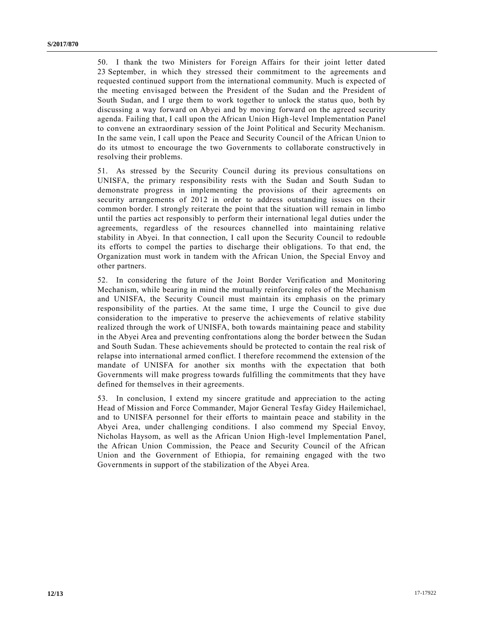50. I thank the two Ministers for Foreign Affairs for their joint letter dated 23 September, in which they stressed their commitment to the agreements and requested continued support from the international community. Much is expected of the meeting envisaged between the President of the Sudan and the President of South Sudan, and I urge them to work together to unlock the status quo, both by discussing a way forward on Abyei and by moving forward on the agreed security agenda. Failing that, I call upon the African Union High-level Implementation Panel to convene an extraordinary session of the Joint Political and Security Mechanism. In the same vein, I call upon the Peace and Security Council of the African Union to do its utmost to encourage the two Governments to collaborate constructively in resolving their problems.

51. As stressed by the Security Council during its previous consultations on UNISFA, the primary responsibility rests with the Sudan and South Sudan to demonstrate progress in implementing the provisions of their agreements on security arrangements of 2012 in order to address outstanding issues on their common border. I strongly reiterate the point that the situation will remain in limbo until the parties act responsibly to perform their international legal duties under the agreements, regardless of the resources channelled into maintaining relative stability in Abyei. In that connection, I call upon the Security Council to redouble its efforts to compel the parties to discharge their obligations. To that end, the Organization must work in tandem with the African Union, the Special Envoy and other partners.

52. In considering the future of the Joint Border Verification and Monitoring Mechanism, while bearing in mind the mutually reinforcing roles of the Mechanism and UNISFA, the Security Council must maintain its emphasis on the primary responsibility of the parties. At the same time, I urge the Council to give due consideration to the imperative to preserve the achievements of relative stability realized through the work of UNISFA, both towards maintaining peace and stability in the Abyei Area and preventing confrontations along the border between the Sudan and South Sudan. These achievements should be protected to contain the real risk of relapse into international armed conflict. I therefore recommend the extension of the mandate of UNISFA for another six months with the expectation that both Governments will make progress towards fulfilling the commitments that they have defined for themselves in their agreements.

53. In conclusion, I extend my sincere gratitude and appreciation to the acting Head of Mission and Force Commander, Major General Tesfay Gidey Hailemichael, and to UNISFA personnel for their efforts to maintain peace and stability in the Abyei Area, under challenging conditions. I also commend my Special Envoy, Nicholas Haysom, as well as the African Union High-level Implementation Panel, the African Union Commission, the Peace and Security Council of the African Union and the Government of Ethiopia, for remaining engaged with the two Governments in support of the stabilization of the Abyei Area.